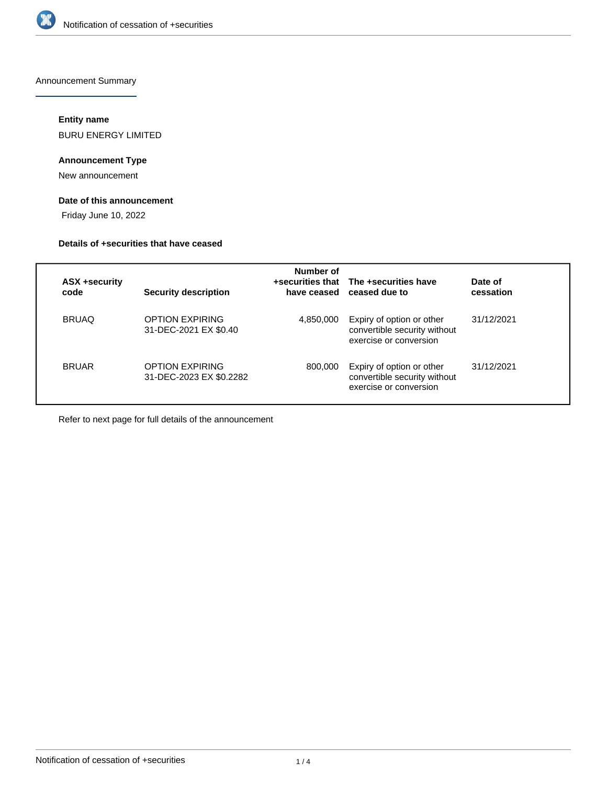

Announcement Summary

# **Entity name**

BURU ENERGY LIMITED

# **Announcement Type**

New announcement

# **Date of this announcement**

Friday June 10, 2022

#### **Details of +securities that have ceased**

| <b>ASX +security</b><br>code | Security description                            | Number of | +securities that The +securities have<br>have ceased ceased due to                  | Date of<br>cessation |
|------------------------------|-------------------------------------------------|-----------|-------------------------------------------------------------------------------------|----------------------|
| <b>BRUAQ</b>                 | <b>OPTION EXPIRING</b><br>31-DEC-2021 EX \$0.40 | 4,850,000 | Expiry of option or other<br>convertible security without<br>exercise or conversion | 31/12/2021           |
| <b>BRUAR</b>                 | OPTION EXPIRING<br>31-DEC-2023 EX \$0.2282      | 800,000   | Expiry of option or other<br>convertible security without<br>exercise or conversion | 31/12/2021           |

Refer to next page for full details of the announcement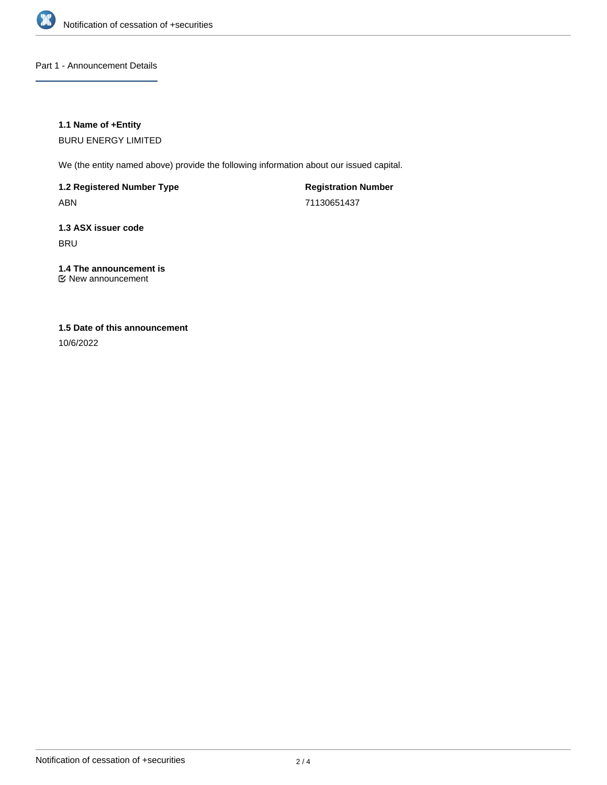

Part 1 - Announcement Details

## **1.1 Name of +Entity**

BURU ENERGY LIMITED

We (the entity named above) provide the following information about our issued capital.

**1.2 Registered Number Type** ABN

**Registration Number** 71130651437

**1.3 ASX issuer code BRU** 

# **1.4 The announcement is**

New announcement

# **1.5 Date of this announcement**

10/6/2022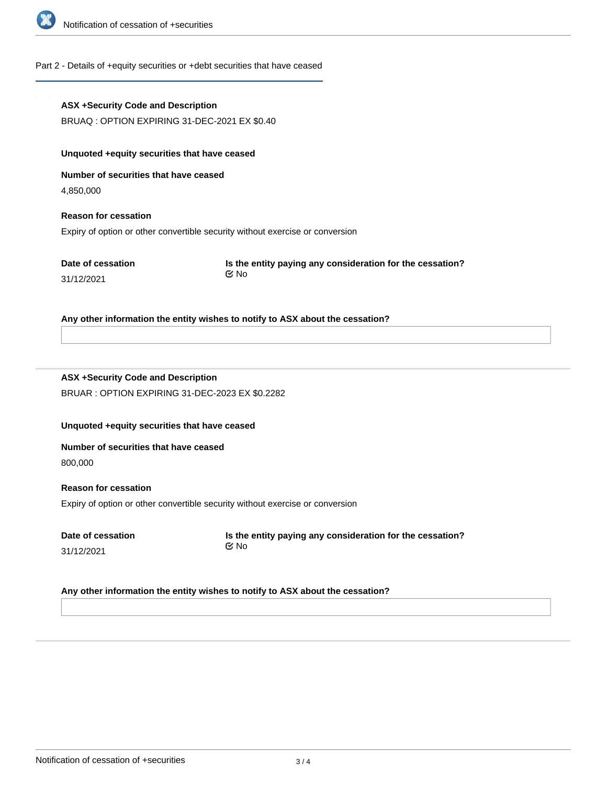

### Part 2 - Details of +equity securities or +debt securities that have ceased

# **ASX +Security Code and Description** BRUAQ : OPTION EXPIRING 31-DEC-2021 EX \$0.40 **Unquoted +equity securities that have ceased Number of securities that have ceased** 4,850,000 **Reason for cessation** Expiry of option or other convertible security without exercise or conversion **Date of cessation** 31/12/2021 **Is the entity paying any consideration for the cessation? Any other information the entity wishes to notify to ASX about the cessation? ASX +Security Code and Description** BRUAR : OPTION EXPIRING 31-DEC-2023 EX \$0.2282 **Unquoted +equity securities that have ceased Number of securities that have ceased** 800,000 **Reason for cessation** Expiry of option or other convertible security without exercise or conversion **Date of cessation** 31/12/2021 **Is the entity paying any consideration for the cessation?** No No

#### **Any other information the entity wishes to notify to ASX about the cessation?**